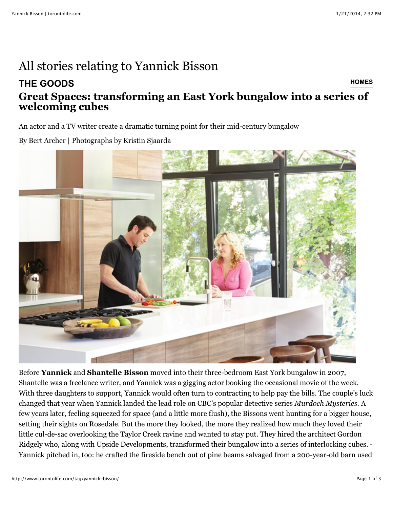## All stories relating to Yannick Bisson

## **[THE GOODS](http://www.torontolife.com/category/style/) [HOMES](http://www.torontolife.com/category/style/toronto-homes/) [Great Spaces: transforming an East York bungalow into a series of](http://www.torontolife.com/style/toronto-homes/2014/01/02/great-spaces-east-york-bungalow/) welcoming cubes**

An actor and a TV writer create a dramatic turning point for their mid-century bungalow

By Bert Archer | Photographs by Kristin Sjaarda



Before **Yannick** and **Shantelle Bisson** moved into their three-bedroom East York bungalow in 2007, Shantelle was a freelance writer, and Yannick was a gigging actor booking the occasional movie of the week. With three daughters to support, Yannick would often turn to contracting to help pay the bills. The couple's luck changed that year when Yannick landed the lead role on CBC's popular detective series *Murdoch Mysteries.* A few years later, feeling squeezed for space (and a little more flush), the Bissons went hunting for a bigger house, setting their sights on Rosedale. But the more they looked, the more they realized how much they loved their little cul-de-sac overlooking the Taylor Creek ravine and wanted to stay put. They hired the architect Gordon Ridgely who, along with Upside Developments, transformed their bungalow into a series of interlocking cubes. - Yannick pitched in, too: he crafted the fireside bench out of pine beams salvaged from a 200-year-old barn used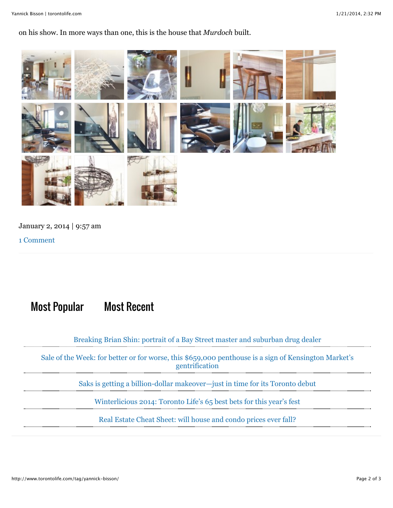on his show. In more ways than one, this is the house that *Murdoch* built.



January 2, 2014 | 9:57 am

[1 Comment](http://www.torontolife.com/style/toronto-homes/2014/01/02/great-spaces-east-york-bungalow/#disqus_thread)

## Most Popular Most Recent

[Breaking Brian Shin: portrait of a Bay Street master and suburban drug dealer](http://www.torontolife.com/informer/features/2014/01/16/breaking-brian-shin/)

[Sale of the Week: for better or for worse, this \\$659,000 penthouse is a sign of Kensington Market's](http://www.torontolife.com/informer/toronto-real-estate/2014/01/20/sale-week-21-nassau-street/) gentrification

[Saks is getting a billion-dollar makeover—just in time for its Toronto debut](http://www.torontolife.com/style/toronto-stores/2014/01/17/saks-billion-dollar-brand-revamp/)

[Winterlicious 2014: Toronto Life's 65 best bets for this year's fest](http://www.torontolife.com/daily-dish/licious/2014/01/13/winterlicious-2014-recommended-toronto-restaurants/)

[Real Estate Cheat Sheet: will house and condo prices ever fall?](http://www.torontolife.com/informer/toronto-real-estate/2014/01/17/toronto-real-estate-condo-house-prices-fall/)